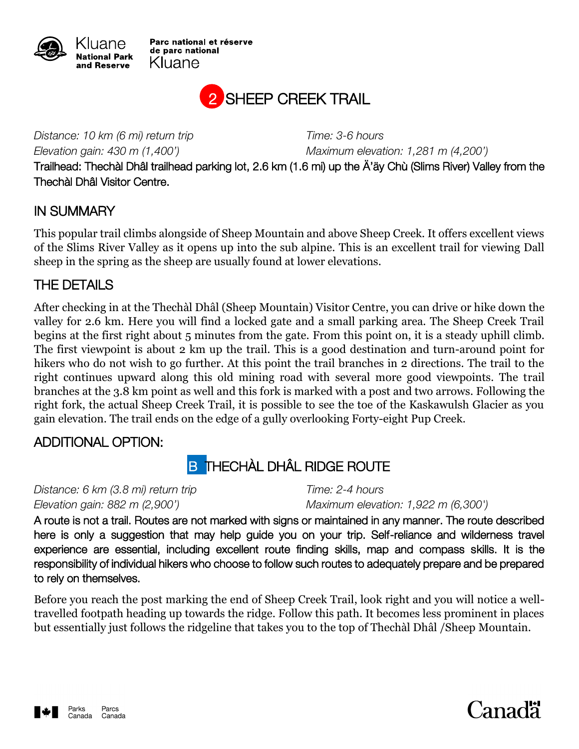

Parc national et réserve de parc national Kluane



*Distance: 10 km (6 mi) return trip Time: 3-6 hours*

*Elevation gain: 430 m (1,400') Maximum elevation: 1,281 m (4,200')*

Trailhead: Thechàl Dhâl trailhead parking lot, 2.6 km (1.6 mi) up the Ä'äy Chù (Slims River) Valley from the Thechàl Dhâl Visitor Centre.

#### IN SUMMARY

This popular trail climbs alongside of Sheep Mountain and above Sheep Creek. It offers excellent views of the Slims River Valley as it opens up into the sub alpine. This is an excellent trail for viewing Dall sheep in the spring as the sheep are usually found at lower elevations.

### THE DETAILS

After checking in at the Thechàl Dhâl (Sheep Mountain) Visitor Centre, you can drive or hike down the valley for 2.6 km. Here you will find a locked gate and a small parking area. The Sheep Creek Trail begins at the first right about 5 minutes from the gate. From this point on, it is a steady uphill climb. The first viewpoint is about 2 km up the trail. This is a good destination and turn-around point for hikers who do not wish to go further. At this point the trail branches in 2 directions. The trail to the right continues upward along this old mining road with several more good viewpoints. The trail branches at the 3.8 km point as well and this fork is marked with a post and two arrows. Following the right fork, the actual Sheep Creek Trail, it is possible to see the toe of the Kaskawulsh Glacier as you gain elevation. The trail ends on the edge of a gully overlooking Forty-eight Pup Creek.

### ADDITIONAL OPTION:

# **B THECHÀL DHÂL RIDGE ROUTE**

*Distance: 6 km (3.8 mi) return trip Time: 2-4 hours*

*Elevation gain: 882 m (2,900') Maximum elevation: 1,922 m (6,300')*

A route is not a trail. Routes are not marked with signs or maintained in any manner. The route described here is only a suggestion that may help guide you on your trip. Self-reliance and wilderness travel experience are essential, including excellent route finding skills, map and compass skills. It is the responsibility of individual hikers who choose to follow such routes to adequately prepare and be prepared to rely on themselves.

Before you reach the post marking the end of Sheep Creek Trail, look right and you will notice a welltravelled footpath heading up towards the ridge. Follow this path. It becomes less prominent in places but essentially just follows the ridgeline that takes you to the top of Thechàl Dhâl /Sheep Mountain.

# Canadä<sup>.</sup>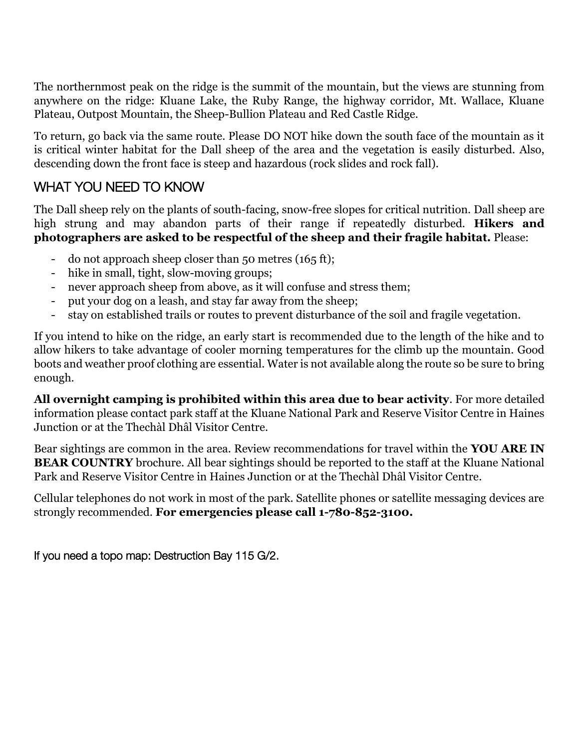The northernmost peak on the ridge is the summit of the mountain, but the views are stunning from anywhere on the ridge: Kluane Lake, the Ruby Range, the highway corridor, Mt. Wallace, Kluane Plateau, Outpost Mountain, the Sheep-Bullion Plateau and Red Castle Ridge.

To return, go back via the same route. Please DO NOT hike down the south face of the mountain as it is critical winter habitat for the Dall sheep of the area and the vegetation is easily disturbed. Also, descending down the front face is steep and hazardous (rock slides and rock fall).

## WHAT YOU NEED TO KNOW

The Dall sheep rely on the plants of south-facing, snow-free slopes for critical nutrition. Dall sheep are high strung and may abandon parts of their range if repeatedly disturbed. **Hikers and photographers are asked to be respectful of the sheep and their fragile habitat.** Please:

- do not approach sheep closer than 50 metres (165 ft);
- hike in small, tight, slow-moving groups;
- never approach sheep from above, as it will confuse and stress them;
- put your dog on a leash, and stay far away from the sheep;
- stay on established trails or routes to prevent disturbance of the soil and fragile vegetation.

If you intend to hike on the ridge, an early start is recommended due to the length of the hike and to allow hikers to take advantage of cooler morning temperatures for the climb up the mountain. Good boots and weather proof clothing are essential. Water is not available along the route so be sure to bring enough.

**All overnight camping is prohibited within this area due to bear activity**. For more detailed information please contact park staff at the Kluane National Park and Reserve Visitor Centre in Haines Junction or at the Thechàl Dhâl Visitor Centre.

Bear sightings are common in the area. Review recommendations for travel within the **YOU ARE IN BEAR COUNTRY** brochure. All bear sightings should be reported to the staff at the Kluane National Park and Reserve Visitor Centre in Haines Junction or at the Thechàl Dhâl Visitor Centre.

Cellular telephones do not work in most of the park. Satellite phones or satellite messaging devices are strongly recommended. **For emergencies please call 1-780-852-3100.**

If you need a topo map: Destruction Bay 115 G/2.